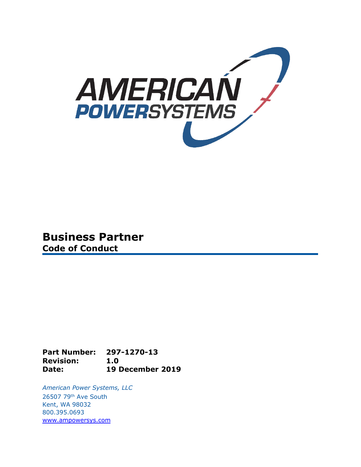

## **Business Partner Code of Conduct**

**Part Number: 297-1270-13 Revision: 1.0 Date: 19 December 2019**

*American Power Systems, LLC* 26507 79th Ave South Kent, WA 98032 800.395.0693 [www.ampowersys.com](http://www.ampowersys.com/)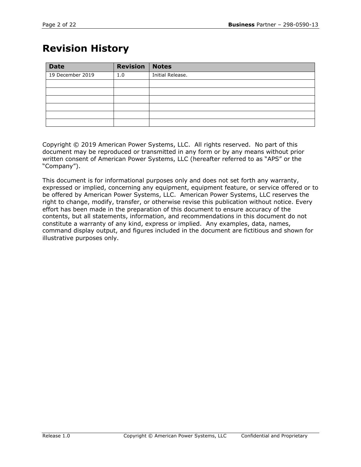## **Revision History**

| <b>Date</b>      | <b>Revision</b> | <b>Notes</b>     |
|------------------|-----------------|------------------|
| 19 December 2019 | 1.0             | Initial Release. |
|                  |                 |                  |
|                  |                 |                  |
|                  |                 |                  |
|                  |                 |                  |
|                  |                 |                  |
|                  |                 |                  |

Copyright © 2019 American Power Systems, LLC. All rights reserved. No part of this document may be reproduced or transmitted in any form or by any means without prior written consent of American Power Systems, LLC (hereafter referred to as "APS" or the "Company").

This document is for informational purposes only and does not set forth any warranty, expressed or implied, concerning any equipment, equipment feature, or service offered or to be offered by American Power Systems, LLC. American Power Systems, LLC reserves the right to change, modify, transfer, or otherwise revise this publication without notice. Every effort has been made in the preparation of this document to ensure accuracy of the contents, but all statements, information, and recommendations in this document do not constitute a warranty of any kind, express or implied. Any examples, data, names, command display output, and figures included in the document are fictitious and shown for illustrative purposes only.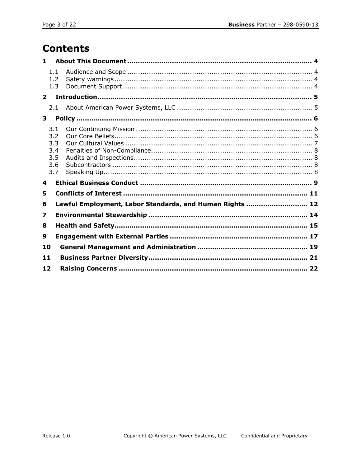# **Contents**

| 1.          |                                               |                                                          |  |  |
|-------------|-----------------------------------------------|----------------------------------------------------------|--|--|
|             | 1.1<br>1.2<br>1.3                             |                                                          |  |  |
| $2^{\circ}$ |                                               |                                                          |  |  |
|             | 2.1                                           |                                                          |  |  |
| 3           |                                               |                                                          |  |  |
|             | 3.1<br>3.2<br>3.3<br>3.4<br>3.5<br>3.6<br>3.7 |                                                          |  |  |
| 4           |                                               |                                                          |  |  |
| 5           |                                               |                                                          |  |  |
| 6           |                                               | Lawful Employment, Labor Standards, and Human Rights  12 |  |  |
| 7           |                                               |                                                          |  |  |
| 8           |                                               |                                                          |  |  |
| 9           |                                               |                                                          |  |  |
| 10          |                                               |                                                          |  |  |
| 11          |                                               |                                                          |  |  |
| 12          |                                               |                                                          |  |  |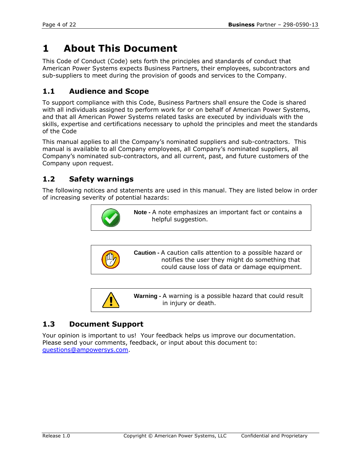## **1 About This Document**

This Code of Conduct (Code) sets forth the principles and standards of conduct that American Power Systems expects Business Partners, their employees, subcontractors and sub-suppliers to meet during the provision of goods and services to the Company.

## **1.1 Audience and Scope**

To support compliance with this Code, Business Partners shall ensure the Code is shared with all individuals assigned to perform work for or on behalf of American Power Systems, and that all American Power Systems related tasks are executed by individuals with the skills, expertise and certifications necessary to uphold the principles and meet the standards of the Code

This manual applies to all the Company's nominated suppliers and sub-contractors. This manual is available to all Company employees, all Company's nominated suppliers, all Company's nominated sub-contractors, and all current, past, and future customers of the Company upon request.

## **1.2 Safety warnings**

The following notices and statements are used in this manual. They are listed below in order of increasing severity of potential hazards:



**Caution -** A caution calls attention to a possible hazard or notifies the user they might do something that could cause loss of data or damage equipment.



**Warning -** A warning is a possible hazard that could result in injury or death.

### **1.3 Document Support**

Your opinion is important to us! Your feedback helps us improve our documentation. Please send your comments, feedback, or input about this document to: [questions@ampowersys.com.](mailto:questions@ampowersys.com)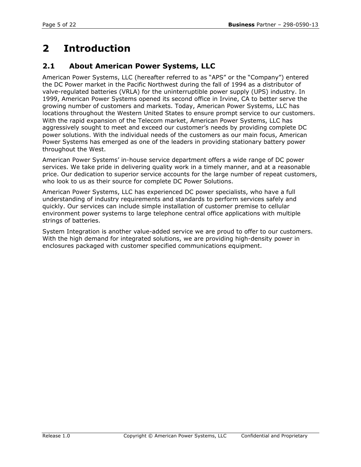# **2 Introduction**

### **2.1 About American Power Systems, LLC**

American Power Systems, LLC (hereafter referred to as "APS" or the "Company") entered the DC Power market in the Pacific Northwest during the fall of 1994 as a distributor of valve-regulated batteries (VRLA) for the uninterruptible power supply (UPS) industry. In 1999, American Power Systems opened its second office in Irvine, CA to better serve the growing number of customers and markets. Today, American Power Systems, LLC has locations throughout the Western United States to ensure prompt service to our customers. With the rapid expansion of the Telecom market, American Power Systems, LLC has aggressively sought to meet and exceed our customer's needs by providing complete DC power solutions. With the individual needs of the customers as our main focus, American Power Systems has emerged as one of the leaders in providing stationary battery power throughout the West.

American Power Systems' in-house service department offers a wide range of DC power services. We take pride in delivering quality work in a timely manner, and at a reasonable price. Our dedication to superior service accounts for the large number of repeat customers, who look to us as their source for complete DC Power Solutions.

American Power Systems, LLC has experienced DC power specialists, who have a full understanding of industry requirements and standards to perform services safely and quickly. Our services can include simple installation of customer premise to cellular environment power systems to large telephone central office applications with multiple strings of batteries.

System Integration is another value-added service we are proud to offer to our customers. With the high demand for integrated solutions, we are providing high-density power in enclosures packaged with customer specified communications equipment.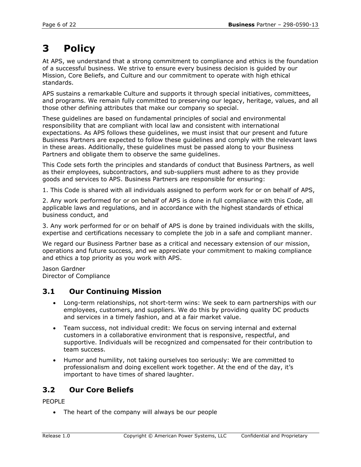# **3 Policy**

At APS, we understand that a strong commitment to compliance and ethics is the foundation of a successful business. We strive to ensure every business decision is guided by our Mission, Core Beliefs, and Culture and our commitment to operate with high ethical standards.

APS sustains a remarkable Culture and supports it through special initiatives, committees, and programs. We remain fully committed to preserving our legacy, heritage, values, and all those other defining attributes that make our company so special.

These guidelines are based on fundamental principles of social and environmental responsibility that are compliant with local law and consistent with international expectations. As APS follows these guidelines, we must insist that our present and future Business Partners are expected to follow these guidelines and comply with the relevant laws in these areas. Additionally, these guidelines must be passed along to your Business Partners and obligate them to observe the same guidelines.

This Code sets forth the principles and standards of conduct that Business Partners, as well as their employees, subcontractors, and sub-suppliers must adhere to as they provide goods and services to APS. Business Partners are responsible for ensuring:

1. This Code is shared with all individuals assigned to perform work for or on behalf of APS,

2. Any work performed for or on behalf of APS is done in full compliance with this Code, all applicable laws and regulations, and in accordance with the highest standards of ethical business conduct, and

3. Any work performed for or on behalf of APS is done by trained individuals with the skills, expertise and certifications necessary to complete the job in a safe and compliant manner.

We regard our Business Partner base as a critical and necessary extension of our mission, operations and future success, and we appreciate your commitment to making compliance and ethics a top priority as you work with APS.

Jason Gardner Director of Compliance

### **3.1 Our Continuing Mission**

- Long-term relationships, not short-term wins: We seek to earn partnerships with our employees, customers, and suppliers. We do this by providing quality DC products and services in a timely fashion, and at a fair market value.
- Team success, not individual credit: We focus on serving internal and external customers in a collaborative environment that is responsive, respectful, and supportive. Individuals will be recognized and compensated for their contribution to team success.
- Humor and humility, not taking ourselves too seriously: We are committed to professionalism and doing excellent work together. At the end of the day, it's important to have times of shared laughter.

## **3.2 Our Core Beliefs**

PEOPLE

• The heart of the company will always be our people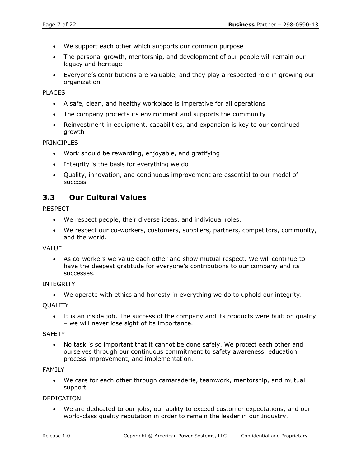- We support each other which supports our common purpose
- The personal growth, mentorship, and development of our people will remain our legacy and heritage
- Everyone's contributions are valuable, and they play a respected role in growing our organization

#### PLACES

- A safe, clean, and healthy workplace is imperative for all operations
- The company protects its environment and supports the community
- Reinvestment in equipment, capabilities, and expansion is key to our continued growth

#### PRINCIPLES

- Work should be rewarding, enjoyable, and gratifying
- Integrity is the basis for everything we do
- Quality, innovation, and continuous improvement are essential to our model of success

### **3.3 Our Cultural Values**

#### RESPECT

- We respect people, their diverse ideas, and individual roles.
- We respect our co-workers, customers, suppliers, partners, competitors, community, and the world.

#### VALUE

• As co-workers we value each other and show mutual respect. We will continue to have the deepest gratitude for everyone's contributions to our company and its successes.

#### INTEGRITY

• We operate with ethics and honesty in everything we do to uphold our integrity.

#### **OUALITY**

• It is an inside job. The success of the company and its products were built on quality – we will never lose sight of its importance.

#### **SAFETY**

• No task is so important that it cannot be done safely. We protect each other and ourselves through our continuous commitment to safety awareness, education, process improvement, and implementation.

#### FAMILY

• We care for each other through camaraderie, teamwork, mentorship, and mutual support.

#### DEDICATION

• We are dedicated to our jobs, our ability to exceed customer expectations, and our world-class quality reputation in order to remain the leader in our Industry.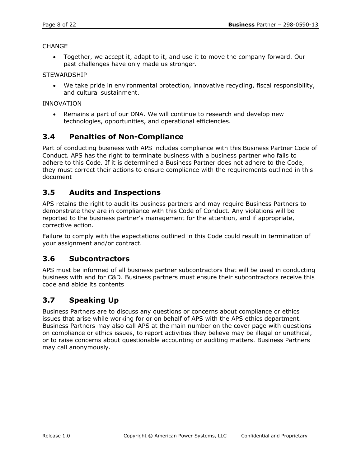#### CHANGE

• Together, we accept it, adapt to it, and use it to move the company forward. Our past challenges have only made us stronger.

**STEWARDSHIP** 

• We take pride in environmental protection, innovative recycling, fiscal responsibility, and cultural sustainment.

#### INNOVATION

• Remains a part of our DNA. We will continue to research and develop new technologies, opportunities, and operational efficiencies.

### **3.4 Penalties of Non-Compliance**

Part of conducting business with APS includes compliance with this Business Partner Code of Conduct. APS has the right to terminate business with a business partner who fails to adhere to this Code. If it is determined a Business Partner does not adhere to the Code, they must correct their actions to ensure compliance with the requirements outlined in this document

### **3.5 Audits and Inspections**

APS retains the right to audit its business partners and may require Business Partners to demonstrate they are in compliance with this Code of Conduct. Any violations will be reported to the business partner's management for the attention, and if appropriate, corrective action.

Failure to comply with the expectations outlined in this Code could result in termination of your assignment and/or contract.

### **3.6 Subcontractors**

APS must be informed of all business partner subcontractors that will be used in conducting business with and for C&D. Business partners must ensure their subcontractors receive this code and abide its contents

### **3.7 Speaking Up**

Business Partners are to discuss any questions or concerns about compliance or ethics issues that arise while working for or on behalf of APS with the APS ethics department. Business Partners may also call APS at the main number on the cover page with questions on compliance or ethics issues, to report activities they believe may be illegal or unethical, or to raise concerns about questionable accounting or auditing matters. Business Partners may call anonymously.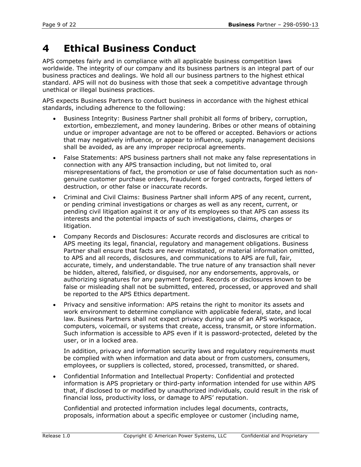## **4 Ethical Business Conduct**

APS competes fairly and in compliance with all applicable business competition laws worldwide. The integrity of our company and its business partners is an integral part of our business practices and dealings. We hold all our business partners to the highest ethical standard. APS will not do business with those that seek a competitive advantage through unethical or illegal business practices.

APS expects Business Partners to conduct business in accordance with the highest ethical standards, including adherence to the following:

- Business Integrity: Business Partner shall prohibit all forms of bribery, corruption, extortion, embezzlement, and money laundering. Bribes or other means of obtaining undue or improper advantage are not to be offered or accepted. Behaviors or actions that may negatively influence, or appear to influence, supply management decisions shall be avoided, as are any improper reciprocal agreements.
- False Statements: APS business partners shall not make any false representations in connection with any APS transaction including, but not limited to, oral misrepresentations of fact, the promotion or use of false documentation such as nongenuine customer purchase orders, fraudulent or forged contracts, forged letters of destruction, or other false or inaccurate records.
- Criminal and Civil Claims: Business Partner shall inform APS of any recent, current, or pending criminal investigations or charges as well as any recent, current, or pending civil litigation against it or any of its employees so that APS can assess its interests and the potential impacts of such investigations, claims, charges or litigation.
- Company Records and Disclosures: Accurate records and disclosures are critical to APS meeting its legal, financial, regulatory and management obligations. Business Partner shall ensure that facts are never misstated, or material information omitted, to APS and all records, disclosures, and communications to APS are full, fair, accurate, timely, and understandable. The true nature of any transaction shall never be hidden, altered, falsified, or disguised, nor any endorsements, approvals, or authorizing signatures for any payment forged. Records or disclosures known to be false or misleading shall not be submitted, entered, processed, or approved and shall be reported to the APS Ethics department.
- Privacy and sensitive information: APS retains the right to monitor its assets and work environment to determine compliance with applicable federal, state, and local law. Business Partners shall not expect privacy during use of an APS workspace, computers, voicemail, or systems that create, access, transmit, or store information. Such information is accessible to APS even if it is password-protected, deleted by the user, or in a locked area.

In addition, privacy and information security laws and regulatory requirements must be complied with when information and data about or from customers, consumers, employees, or suppliers is collected, stored, processed, transmitted, or shared.

• Confidential Information and Intellectual Property: Confidential and protected information is APS proprietary or third-party information intended for use within APS that, if disclosed to or modified by unauthorized individuals, could result in the risk of financial loss, productivity loss, or damage to APS' reputation.

Confidential and protected information includes legal documents, contracts, proposals, information about a specific employee or customer (including name,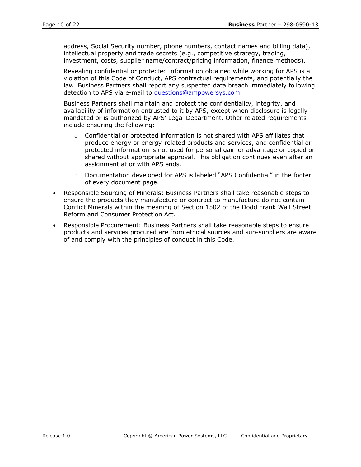address, Social Security number, phone numbers, contact names and billing data), intellectual property and trade secrets (e.g., competitive strategy, trading, investment, costs, supplier name/contract/pricing information, finance methods).

Revealing confidential or protected information obtained while working for APS is a violation of this Code of Conduct, APS contractual requirements, and potentially the law. Business Partners shall report any suspected data breach immediately following detection to APS via e-mail to [questions@ampowersys.com.](mailto:questions@ampowersys.com)

Business Partners shall maintain and protect the confidentiality, integrity, and availability of information entrusted to it by APS, except when disclosure is legally mandated or is authorized by APS' Legal Department. Other related requirements include ensuring the following:

- $\circ$  Confidential or protected information is not shared with APS affiliates that produce energy or energy-related products and services, and confidential or protected information is not used for personal gain or advantage or copied or shared without appropriate approval. This obligation continues even after an assignment at or with APS ends.
- o Documentation developed for APS is labeled "APS Confidential" in the footer of every document page.
- Responsible Sourcing of Minerals: Business Partners shall take reasonable steps to ensure the products they manufacture or contract to manufacture do not contain Conflict Minerals within the meaning of Section 1502 of the Dodd Frank Wall Street Reform and Consumer Protection Act.
- Responsible Procurement: Business Partners shall take reasonable steps to ensure products and services procured are from ethical sources and sub-suppliers are aware of and comply with the principles of conduct in this Code.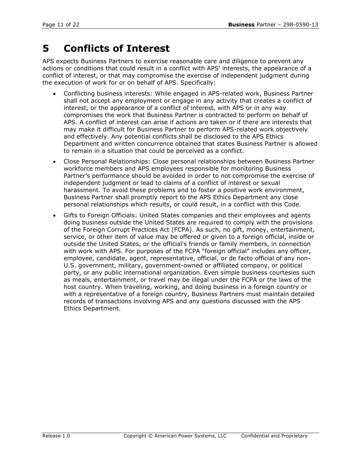# **5 Conflicts of Interest**

APS expects Business Partners to exercise reasonable care and diligence to prevent any actions or conditions that could result in a conflict with APS' interests, the appearance of a conflict of interest, or that may compromise the exercise of independent judgment during the execution of work for or on behalf of APS. Specifically:

- Conflicting business interests: While engaged in APS-related work, Business Partner shall not accept any employment or engage in any activity that creates a conflict of interest, or the appearance of a conflict of interest, with APS or in any way compromises the work that Business Partner is contracted to perform on behalf of APS. A conflict of interest can arise if actions are taken or if there are interests that may make it difficult for Business Partner to perform APS-related work objectively and effectively. Any potential conflicts shall be disclosed to the APS Ethics Department and written concurrence obtained that states Business Partner is allowed to remain in a situation that could be perceived as a conflict.
- Close Personal Relationships: Close personal relationships between Business Partner workforce members and APS employees responsible for monitoring Business Partner's performance should be avoided in order to not compromise the exercise of independent judgment or lead to claims of a conflict of interest or sexual harassment. To avoid these problems and to foster a positive work environment, Business Partner shall promptly report to the APS Ethics Department any close personal relationships which results, or could result, in a conflict with this Code.
- Gifts to Foreign Officials: United States companies and their employees and agents doing business outside the United States are required to comply with the provisions of the Foreign Corrupt Practices Act (FCPA). As such, no gift, money, entertainment, service, or other item of value may be offered or given to a foreign official, inside or outside the United States, or the official's friends or family members, in connection with work with APS. For purposes of the FCPA "foreign official" includes any officer, employee, candidate, agent, representative, official, or de facto official of any non-U.S. government, military, government-owned or affiliated company, or political party, or any public international organization. Even simple business courtesies such as meals, entertainment, or travel may be illegal under the FCPA or the laws of the host country. When traveling, working, and doing business in a foreign country or with a representative of a foreign country, Business Partners must maintain detailed records of transactions involving APS and any questions discussed with the APS Ethics Department.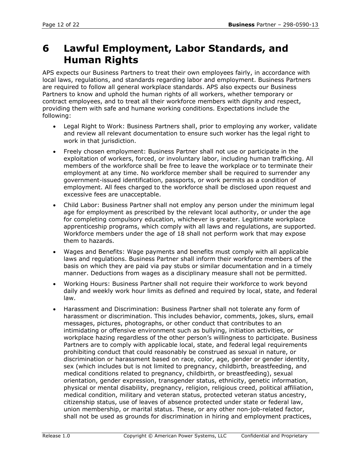## **6 Lawful Employment, Labor Standards, and Human Rights**

APS expects our Business Partners to treat their own employees fairly, in accordance with local laws, regulations, and standards regarding labor and employment. Business Partners are required to follow all general workplace standards. APS also expects our Business Partners to know and uphold the human rights of all workers, whether temporary or contract employees, and to treat all their workforce members with dignity and respect, providing them with safe and humane working conditions. Expectations include the following:

- Legal Right to Work: Business Partners shall, prior to employing any worker, validate and review all relevant documentation to ensure such worker has the legal right to work in that jurisdiction.
- Freely chosen employment: Business Partner shall not use or participate in the exploitation of workers, forced, or involuntary labor, including human trafficking. All members of the workforce shall be free to leave the workplace or to terminate their employment at any time. No workforce member shall be required to surrender any government-issued identification, passports, or work permits as a condition of employment. All fees charged to the workforce shall be disclosed upon request and excessive fees are unacceptable.
- Child Labor: Business Partner shall not employ any person under the minimum legal age for employment as prescribed by the relevant local authority, or under the age for completing compulsory education, whichever is greater. Legitimate workplace apprenticeship programs, which comply with all laws and regulations, are supported. Workforce members under the age of 18 shall not perform work that may expose them to hazards.
- Wages and Benefits: Wage payments and benefits must comply with all applicable laws and regulations. Business Partner shall inform their workforce members of the basis on which they are paid via pay stubs or similar documentation and in a timely manner. Deductions from wages as a disciplinary measure shall not be permitted.
- Working Hours: Business Partner shall not require their workforce to work beyond daily and weekly work hour limits as defined and required by local, state, and federal law.
- Harassment and Discrimination: Business Partner shall not tolerate any form of harassment or discrimination. This includes behavior, comments, jokes, slurs, email messages, pictures, photographs, or other conduct that contributes to an intimidating or offensive environment such as bullying, initiation activities, or workplace hazing regardless of the other person's willingness to participate. Business Partners are to comply with applicable local, state, and federal legal requirements prohibiting conduct that could reasonably be construed as sexual in nature, or discrimination or harassment based on race, color, age, gender or gender identity, sex (which includes but is not limited to pregnancy, childbirth, breastfeeding, and medical conditions related to pregnancy, childbirth, or breastfeeding), sexual orientation, gender expression, transgender status, ethnicity, genetic information, physical or mental disability, pregnancy, religion, religious creed, political affiliation, medical condition, military and veteran status, protected veteran status ancestry, citizenship status, use of leaves of absence protected under state or federal law, union membership, or marital status. These, or any other non-job-related factor, shall not be used as grounds for discrimination in hiring and employment practices,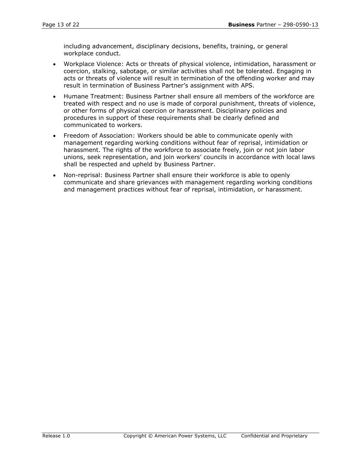including advancement, disciplinary decisions, benefits, training, or general workplace conduct.

- Workplace Violence: Acts or threats of physical violence, intimidation, harassment or coercion, stalking, sabotage, or similar activities shall not be tolerated. Engaging in acts or threats of violence will result in termination of the offending worker and may result in termination of Business Partner's assignment with APS.
- Humane Treatment: Business Partner shall ensure all members of the workforce are treated with respect and no use is made of corporal punishment, threats of violence, or other forms of physical coercion or harassment. Disciplinary policies and procedures in support of these requirements shall be clearly defined and communicated to workers.
- Freedom of Association: Workers should be able to communicate openly with management regarding working conditions without fear of reprisal, intimidation or harassment. The rights of the workforce to associate freely, join or not join labor unions, seek representation, and join workers' councils in accordance with local laws shall be respected and upheld by Business Partner.
- Non-reprisal: Business Partner shall ensure their workforce is able to openly communicate and share grievances with management regarding working conditions and management practices without fear of reprisal, intimidation, or harassment.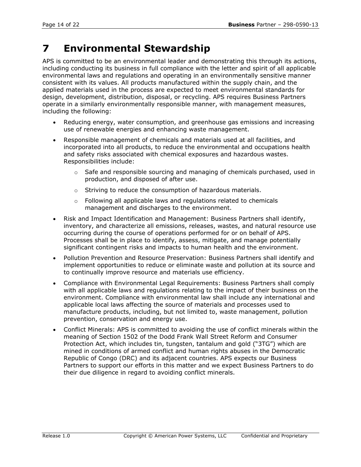# **7 Environmental Stewardship**

APS is committed to be an environmental leader and demonstrating this through its actions, including conducting its business in full compliance with the letter and spirit of all applicable environmental laws and regulations and operating in an environmentally sensitive manner consistent with its values. All products manufactured within the supply chain, and the applied materials used in the process are expected to meet environmental standards for design, development, distribution, disposal, or recycling. APS requires Business Partners operate in a similarly environmentally responsible manner, with management measures, including the following:

- Reducing energy, water consumption, and greenhouse gas emissions and increasing use of renewable energies and enhancing waste management.
- Responsible management of chemicals and materials used at all facilities, and incorporated into all products, to reduce the environmental and occupations health and safety risks associated with chemical exposures and hazardous wastes. Responsibilities include:
	- o Safe and responsible sourcing and managing of chemicals purchased, used in production, and disposed of after use.
	- o Striving to reduce the consumption of hazardous materials.
	- o Following all applicable laws and regulations related to chemicals management and discharges to the environment.
- Risk and Impact Identification and Management: Business Partners shall identify, inventory, and characterize all emissions, releases, wastes, and natural resource use occurring during the course of operations performed for or on behalf of APS. Processes shall be in place to identify, assess, mitigate, and manage potentially significant contingent risks and impacts to human health and the environment.
- Pollution Prevention and Resource Preservation: Business Partners shall identify and implement opportunities to reduce or eliminate waste and pollution at its source and to continually improve resource and materials use efficiency.
- Compliance with Environmental Legal Requirements: Business Partners shall comply with all applicable laws and regulations relating to the impact of their business on the environment. Compliance with environmental law shall include any international and applicable local laws affecting the source of materials and processes used to manufacture products, including, but not limited to, waste management, pollution prevention, conservation and energy use.
- Conflict Minerals: APS is committed to avoiding the use of conflict minerals within the meaning of Section 1502 of the Dodd Frank Wall Street Reform and Consumer Protection Act, which includes tin, tungsten, tantalum and gold ("3TG") which are mined in conditions of armed conflict and human rights abuses in the Democratic Republic of Congo (DRC) and its adjacent countries. APS expects our Business Partners to support our efforts in this matter and we expect Business Partners to do their due diligence in regard to avoiding conflict minerals.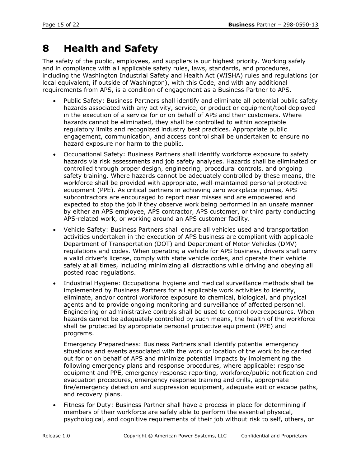## **8 Health and Safety**

The safety of the public, employees, and suppliers is our highest priority. Working safely and in compliance with all applicable safety rules, laws, standards, and procedures, including the Washington Industrial Safety and Health Act (WISHA) rules and regulations (or local equivalent, if outside of Washington), with this Code, and with any additional requirements from APS, is a condition of engagement as a Business Partner to APS.

- Public Safety: Business Partners shall identify and eliminate all potential public safety hazards associated with any activity, service, or product or equipment/tool deployed in the execution of a service for or on behalf of APS and their customers. Where hazards cannot be eliminated, they shall be controlled to within acceptable regulatory limits and recognized industry best practices. Appropriate public engagement, communication, and access control shall be undertaken to ensure no hazard exposure nor harm to the public.
- Occupational Safety: Business Partners shall identify workforce exposure to safety hazards via risk assessments and job safety analyses. Hazards shall be eliminated or controlled through proper design, engineering, procedural controls, and ongoing safety training. Where hazards cannot be adequately controlled by these means, the workforce shall be provided with appropriate, well-maintained personal protective equipment (PPE). As critical partners in achieving zero workplace injuries, APS subcontractors are encouraged to report near misses and are empowered and expected to stop the job if they observe work being performed in an unsafe manner by either an APS employee, APS contractor, APS customer, or third party conducting APS-related work, or working around an APS customer facility.
- Vehicle Safety: Business Partners shall ensure all vehicles used and transportation activities undertaken in the execution of APS business are compliant with applicable Department of Transportation (DOT) and Department of Motor Vehicles (DMV) regulations and codes. When operating a vehicle for APS business, drivers shall carry a valid driver's license, comply with state vehicle codes, and operate their vehicle safely at all times, including minimizing all distractions while driving and obeying all posted road regulations.
- Industrial Hygiene: Occupational hygiene and medical surveillance methods shall be implemented by Business Partners for all applicable work activities to identify, eliminate, and/or control workforce exposure to chemical, biological, and physical agents and to provide ongoing monitoring and surveillance of affected personnel. Engineering or administrative controls shall be used to control overexposures. When hazards cannot be adequately controlled by such means, the health of the workforce shall be protected by appropriate personal protective equipment (PPE) and programs.

Emergency Preparedness: Business Partners shall identify potential emergency situations and events associated with the work or location of the work to be carried out for or on behalf of APS and minimize potential impacts by implementing the following emergency plans and response procedures, where applicable: response equipment and PPE, emergency response reporting, workforce/public notification and evacuation procedures, emergency response training and drills, appropriate fire/emergency detection and suppression equipment, adequate exit or escape paths, and recovery plans.

Fitness for Duty: Business Partner shall have a process in place for determining if members of their workforce are safely able to perform the essential physical, psychological, and cognitive requirements of their job without risk to self, others, or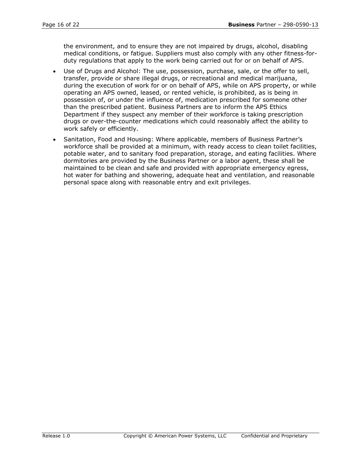the environment, and to ensure they are not impaired by drugs, alcohol, disabling medical conditions, or fatigue. Suppliers must also comply with any other fitness-forduty regulations that apply to the work being carried out for or on behalf of APS.

- Use of Drugs and Alcohol: The use, possession, purchase, sale, or the offer to sell, transfer, provide or share illegal drugs, or recreational and medical marijuana, during the execution of work for or on behalf of APS, while on APS property, or while operating an APS owned, leased, or rented vehicle, is prohibited, as is being in possession of, or under the influence of, medication prescribed for someone other than the prescribed patient. Business Partners are to inform the APS Ethics Department if they suspect any member of their workforce is taking prescription drugs or over-the-counter medications which could reasonably affect the ability to work safely or efficiently.
- Sanitation, Food and Housing: Where applicable, members of Business Partner's workforce shall be provided at a minimum, with ready access to clean toilet facilities, potable water, and to sanitary food preparation, storage, and eating facilities. Where dormitories are provided by the Business Partner or a labor agent, these shall be maintained to be clean and safe and provided with appropriate emergency egress, hot water for bathing and showering, adequate heat and ventilation, and reasonable personal space along with reasonable entry and exit privileges.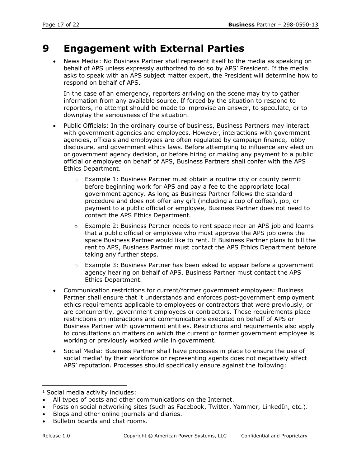## **9 Engagement with External Parties**

• News Media: No Business Partner shall represent itself to the media as speaking on behalf of APS unless expressly authorized to do so by APS' President. If the media asks to speak with an APS subject matter expert, the President will determine how to respond on behalf of APS.

In the case of an emergency, reporters arriving on the scene may try to gather information from any available source. If forced by the situation to respond to reporters, no attempt should be made to improvise an answer, to speculate, or to downplay the seriousness of the situation.

- Public Officials: In the ordinary course of business, Business Partners may interact with government agencies and employees. However, interactions with government agencies, officials and employees are often regulated by campaign finance, lobby disclosure, and government ethics laws. Before attempting to influence any election or government agency decision, or before hiring or making any payment to a public official or employee on behalf of APS, Business Partners shall confer with the APS Ethics Department.
	- $\circ$  Example 1: Business Partner must obtain a routine city or county permit before beginning work for APS and pay a fee to the appropriate local government agency. As long as Business Partner follows the standard procedure and does not offer any gift (including a cup of coffee), job, or payment to a public official or employee, Business Partner does not need to contact the APS Ethics Department.
	- o Example 2: Business Partner needs to rent space near an APS job and learns that a public official or employee who must approve the APS job owns the space Business Partner would like to rent. If Business Partner plans to bill the rent to APS, Business Partner must contact the APS Ethics Department before taking any further steps.
	- $\circ$  Example 3: Business Partner has been asked to appear before a government agency hearing on behalf of APS. Business Partner must contact the APS Ethics Department.
- Communication restrictions for current/former government employees: Business Partner shall ensure that it understands and enforces post-government employment ethics requirements applicable to employees or contractors that were previously, or are concurrently, government employees or contractors. These requirements place restrictions on interactions and communications executed on behalf of APS or Business Partner with government entities. Restrictions and requirements also apply to consultations on matters on which the current or former government employee is working or previously worked while in government.
- Social Media: Business Partner shall have processes in place to ensure the use of social media<sup>1</sup> by their workforce or representing agents does not negatively affect APS' reputation. Processes should specifically ensure against the following:

<sup>1</sup> Social media activity includes:

All types of posts and other communications on the Internet.

Posts on social networking sites (such as Facebook, Twitter, Yammer, LinkedIn, etc.).

<sup>•</sup> Blogs and other online journals and diaries.

<sup>•</sup> Bulletin boards and chat rooms.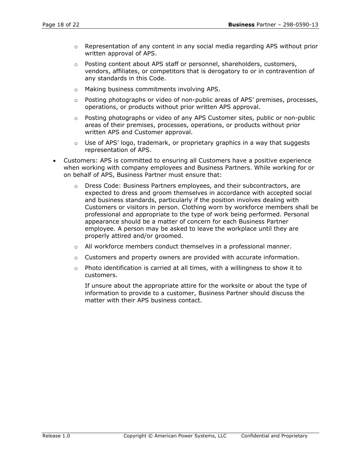- $\circ$  Representation of any content in any social media regarding APS without prior written approval of APS.
- o Posting content about APS staff or personnel, shareholders, customers, vendors, affiliates, or competitors that is derogatory to or in contravention of any standards in this Code.
- o Making business commitments involving APS.
- $\circ$  Posting photographs or video of non-public areas of APS' premises, processes, operations, or products without prior written APS approval.
- $\circ$  Posting photographs or video of any APS Customer sites, public or non-public areas of their premises, processes, operations, or products without prior written APS and Customer approval.
- o Use of APS' logo, trademark, or proprietary graphics in a way that suggests representation of APS.
- Customers: APS is committed to ensuring all Customers have a positive experience when working with company employees and Business Partners. While working for or on behalf of APS, Business Partner must ensure that:
	- $\circ$  Dress Code: Business Partners employees, and their subcontractors, are expected to dress and groom themselves in accordance with accepted social and business standards, particularly if the position involves dealing with Customers or visitors in person. Clothing worn by workforce members shall be professional and appropriate to the type of work being performed. Personal appearance should be a matter of concern for each Business Partner employee. A person may be asked to leave the workplace until they are properly attired and/or groomed.
	- o All workforce members conduct themselves in a professional manner.
	- $\circ$  Customers and property owners are provided with accurate information.
	- $\circ$  Photo identification is carried at all times, with a willingness to show it to customers.

If unsure about the appropriate attire for the worksite or about the type of information to provide to a customer, Business Partner should discuss the matter with their APS business contact.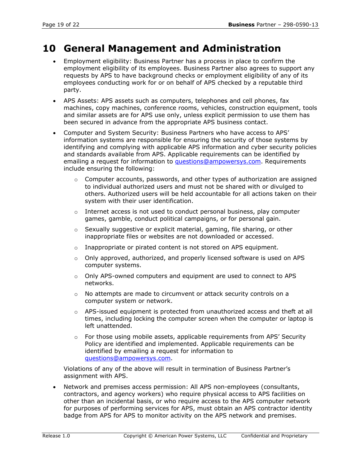## **10 General Management and Administration**

- Employment eligibility: Business Partner has a process in place to confirm the employment eligibility of its employees. Business Partner also agrees to support any requests by APS to have background checks or employment eligibility of any of its employees conducting work for or on behalf of APS checked by a reputable third party.
- APS Assets: APS assets such as computers, telephones and cell phones, fax machines, copy machines, conference rooms, vehicles, construction equipment, tools and similar assets are for APS use only, unless explicit permission to use them has been secured in advance from the appropriate APS business contact.
- Computer and System Security: Business Partners who have access to APS' information systems are responsible for ensuring the security of those systems by identifying and complying with applicable APS information and cyber security policies and standards available from APS. Applicable requirements can be identified by emailing a request for information to [questions@ampowersys.com.](mailto:questions@ampowersys.com) Requirements include ensuring the following:
	- $\circ$  Computer accounts, passwords, and other types of authorization are assigned to individual authorized users and must not be shared with or divulged to others. Authorized users will be held accountable for all actions taken on their system with their user identification.
	- $\circ$  Internet access is not used to conduct personal business, play computer games, gamble, conduct political campaigns, or for personal gain.
	- o Sexually suggestive or explicit material, gaming, file sharing, or other inappropriate files or websites are not downloaded or accessed.
	- $\circ$  Inappropriate or pirated content is not stored on APS equipment.
	- $\circ$  Only approved, authorized, and properly licensed software is used on APS computer systems.
	- $\circ$  Only APS-owned computers and equipment are used to connect to APS networks.
	- $\circ$  No attempts are made to circumvent or attack security controls on a computer system or network.
	- $\circ$  APS-issued equipment is protected from unauthorized access and theft at all times, including locking the computer screen when the computer or laptop is left unattended.
	- $\circ$  For those using mobile assets, applicable requirements from APS' Security Policy are identified and implemented. Applicable requirements can be identified by emailing a request for information to [questions@ampowersys.com.](mailto:questions@ampowersys.com)

Violations of any of the above will result in termination of Business Partner's assignment with APS.

• Network and premises access permission: All APS non-employees (consultants, contractors, and agency workers) who require physical access to APS facilities on other than an incidental basis, or who require access to the APS computer network for purposes of performing services for APS, must obtain an APS contractor identity badge from APS for APS to monitor activity on the APS network and premises.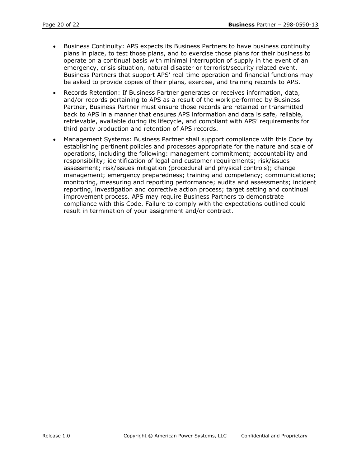- Business Continuity: APS expects its Business Partners to have business continuity plans in place, to test those plans, and to exercise those plans for their business to operate on a continual basis with minimal interruption of supply in the event of an emergency, crisis situation, natural disaster or terrorist/security related event. Business Partners that support APS' real-time operation and financial functions may be asked to provide copies of their plans, exercise, and training records to APS.
- Records Retention: If Business Partner generates or receives information, data, and/or records pertaining to APS as a result of the work performed by Business Partner, Business Partner must ensure those records are retained or transmitted back to APS in a manner that ensures APS information and data is safe, reliable, retrievable, available during its lifecycle, and compliant with APS' requirements for third party production and retention of APS records.
- Management Systems: Business Partner shall support compliance with this Code by establishing pertinent policies and processes appropriate for the nature and scale of operations, including the following: management commitment; accountability and responsibility; identification of legal and customer requirements; risk/issues assessment; risk/issues mitigation (procedural and physical controls); change management; emergency preparedness; training and competency; communications; monitoring, measuring and reporting performance; audits and assessments; incident reporting, investigation and corrective action process; target setting and continual improvement process. APS may require Business Partners to demonstrate compliance with this Code. Failure to comply with the expectations outlined could result in termination of your assignment and/or contract.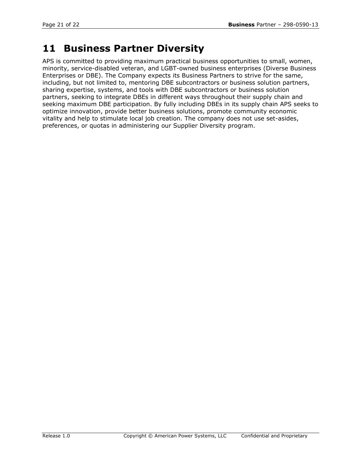## **11 Business Partner Diversity**

APS is committed to providing maximum practical business opportunities to small, women, minority, service-disabled veteran, and LGBT-owned business enterprises (Diverse Business Enterprises or DBE). The Company expects its Business Partners to strive for the same, including, but not limited to, mentoring DBE subcontractors or business solution partners, sharing expertise, systems, and tools with DBE subcontractors or business solution partners, seeking to integrate DBEs in different ways throughout their supply chain and seeking maximum DBE participation. By fully including DBEs in its supply chain APS seeks to optimize innovation, provide better business solutions, promote community economic vitality and help to stimulate local job creation. The company does not use set-asides, preferences, or quotas in administering our Supplier Diversity program.